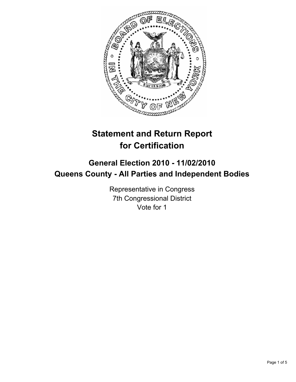

# **Statement and Return Report for Certification**

## **General Election 2010 - 11/02/2010 Queens County - All Parties and Independent Bodies**

Representative in Congress 7th Congressional District Vote for 1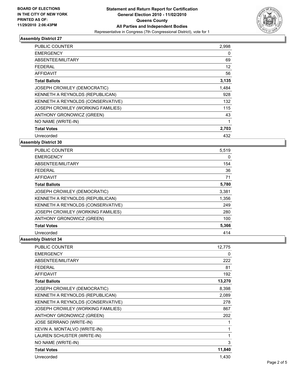

### **Assembly District 27**

| <b>PUBLIC COUNTER</b>              | 2,998 |
|------------------------------------|-------|
| <b>EMERGENCY</b>                   | 0     |
| ABSENTEE/MILITARY                  | 69    |
| FEDERAL                            | 12    |
| <b>AFFIDAVIT</b>                   | 56    |
| <b>Total Ballots</b>               | 3,135 |
| <b>JOSEPH CROWLEY (DEMOCRATIC)</b> | 1,484 |
| KENNETH A REYNOLDS (REPUBLICAN)    | 928   |
| KENNETH A REYNOLDS (CONSERVATIVE)  | 132   |
| JOSEPH CROWLEY (WORKING FAMILIES)  | 115   |
| ANTHONY GRONOWICZ (GREEN)          | 43    |
| NO NAME (WRITE-IN)                 | 1     |
| <b>Total Votes</b>                 | 2,703 |
| Unrecorded                         | 432   |

**Assembly District 30**

| <b>PUBLIC COUNTER</b>             | 5,519 |
|-----------------------------------|-------|
| <b>EMERGENCY</b>                  | 0     |
| ABSENTEE/MILITARY                 | 154   |
| FEDERAL                           | 36    |
| <b>AFFIDAVIT</b>                  | 71    |
| <b>Total Ballots</b>              | 5,780 |
| JOSEPH CROWLEY (DEMOCRATIC)       | 3,381 |
| KENNETH A REYNOLDS (REPUBLICAN)   | 1,356 |
| KENNETH A REYNOLDS (CONSERVATIVE) | 249   |
| JOSEPH CROWLEY (WORKING FAMILIES) | 280   |
| ANTHONY GRONOWICZ (GREEN)         | 100   |
| <b>Total Votes</b>                | 5,366 |
| Unrecorded                        | 414   |

#### **Assembly District 34**

| <b>PUBLIC COUNTER</b>             | 12.775 |
|-----------------------------------|--------|
| <b>EMERGENCY</b>                  | 0      |
| ABSENTEE/MILITARY                 | 222    |
| FEDERAL                           | 81     |
| <b>AFFIDAVIT</b>                  | 192    |
| <b>Total Ballots</b>              | 13,270 |
| JOSEPH CROWLEY (DEMOCRATIC)       | 8,398  |
| KENNETH A REYNOLDS (REPUBLICAN)   | 2,089  |
| KENNETH A REYNOLDS (CONSERVATIVE) | 278    |
| JOSEPH CROWLEY (WORKING FAMILIES) | 867    |
| ANTHONY GRONOWICZ (GREEN)         | 202    |
| <b>JOSE SERRANO (WRITE-IN)</b>    | 1      |
| KEVIN A. MONTALVO (WRITE-IN)      | 1      |
| LAUREN SCHUSTER (WRITE-IN)        | 1      |
| NO NAME (WRITE-IN)                | 3      |
| <b>Total Votes</b>                | 11,840 |
| Unrecorded                        | 1,430  |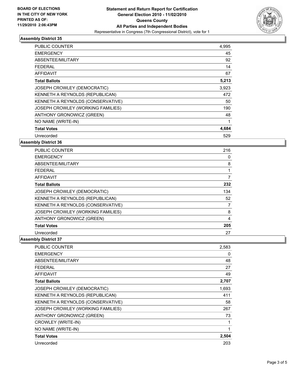

### **Assembly District 35**

| <b>PUBLIC COUNTER</b>              | 4,995 |
|------------------------------------|-------|
| <b>EMERGENCY</b>                   | 45    |
| ABSENTEE/MILITARY                  | 92    |
| FEDERAL                            | 14    |
| AFFIDAVIT                          | 67    |
| <b>Total Ballots</b>               | 5,213 |
| <b>JOSEPH CROWLEY (DEMOCRATIC)</b> | 3,923 |
| KENNETH A REYNOLDS (REPUBLICAN)    | 472   |
| KENNETH A REYNOLDS (CONSERVATIVE)  | 50    |
| JOSEPH CROWLEY (WORKING FAMILIES)  | 190   |
| ANTHONY GRONOWICZ (GREEN)          | 48    |
| NO NAME (WRITE-IN)                 | 1     |
| <b>Total Votes</b>                 | 4,684 |
| Unrecorded                         | 529   |

**Assembly District 36**

| <b>PUBLIC COUNTER</b>             | 216 |
|-----------------------------------|-----|
| <b>EMERGENCY</b>                  | 0   |
| ABSENTEE/MILITARY                 | 8   |
| FEDERAL                           | 1   |
| <b>AFFIDAVIT</b>                  | 7   |
| <b>Total Ballots</b>              | 232 |
| JOSEPH CROWLEY (DEMOCRATIC)       | 134 |
| KENNETH A REYNOLDS (REPUBLICAN)   | 52  |
| KENNETH A REYNOLDS (CONSERVATIVE) | 7   |
| JOSEPH CROWLEY (WORKING FAMILIES) | 8   |
| ANTHONY GRONOWICZ (GREEN)         | 4   |
| <b>Total Votes</b>                | 205 |
| Unrecorded                        | 27  |

#### **Assembly District 37**

| <b>PUBLIC COUNTER</b>             | 2,583 |
|-----------------------------------|-------|
| <b>EMERGENCY</b>                  | 0     |
| ABSENTEE/MILITARY                 | 48    |
| FEDERAL                           | 27    |
| <b>AFFIDAVIT</b>                  | 49    |
| <b>Total Ballots</b>              | 2,707 |
| JOSEPH CROWLEY (DEMOCRATIC)       | 1,693 |
| KENNETH A REYNOLDS (REPUBLICAN)   | 411   |
| KENNETH A REYNOLDS (CONSERVATIVE) | 58    |
| JOSEPH CROWLEY (WORKING FAMILIES) | 267   |
| ANTHONY GRONOWICZ (GREEN)         | 73    |
| CROWLEY (WRITE-IN)                | 1     |
| NO NAME (WRITE-IN)                | 1     |
| <b>Total Votes</b>                | 2,504 |
| Unrecorded                        | 203   |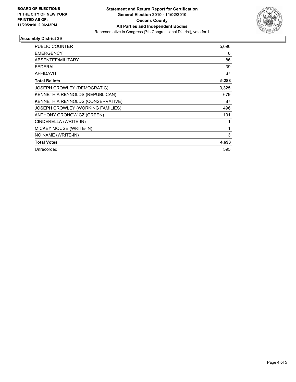

### **Assembly District 39**

| <b>PUBLIC COUNTER</b>             | 5,096 |
|-----------------------------------|-------|
| <b>EMERGENCY</b>                  | 0     |
| ABSENTEE/MILITARY                 | 86    |
| FEDERAL                           | 39    |
| <b>AFFIDAVIT</b>                  | 67    |
| <b>Total Ballots</b>              | 5,288 |
| JOSEPH CROWLEY (DEMOCRATIC)       | 3,325 |
| KENNETH A REYNOLDS (REPUBLICAN)   | 679   |
| KENNETH A REYNOLDS (CONSERVATIVE) | 87    |
| JOSEPH CROWLEY (WORKING FAMILIES) | 496   |
| ANTHONY GRONOWICZ (GREEN)         | 101   |
| CINDERELLA (WRITE-IN)             | 1     |
| MICKEY MOUSE (WRITE-IN)           | 1     |
| NO NAME (WRITE-IN)                | 3     |
| <b>Total Votes</b>                | 4,693 |
| Unrecorded                        | 595   |